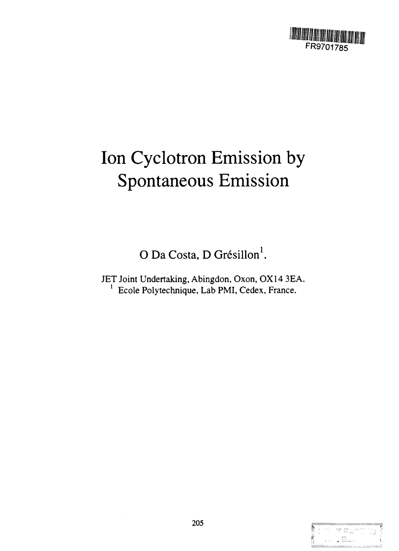

# Ion Cyclotron Emission by Spontaneous Emission

O Da Costa, D Grésillon<sup>1</sup>.

JET Joint Undertaking, Abingdon, Oxon, 0X14 3EA. <sup>1</sup> Ecole Polytechnique, Lab PMI, Cedex, France.

| $8.1 - 1.1$   | 40240     | 40000       | 65557      | <b>ANTICATE</b> | ×.<br><b>ALC UNK</b> |
|---------------|-----------|-------------|------------|-----------------|----------------------|
|               | $\cdot$ . | 22500       |            |                 |                      |
|               |           |             |            |                 | --- 7                |
|               |           | めたん         |            |                 |                      |
|               |           |             |            |                 |                      |
| <b>ALC NO</b> |           |             | <b>KKI</b> |                 |                      |
|               |           | 2002-0006-0 |            |                 |                      |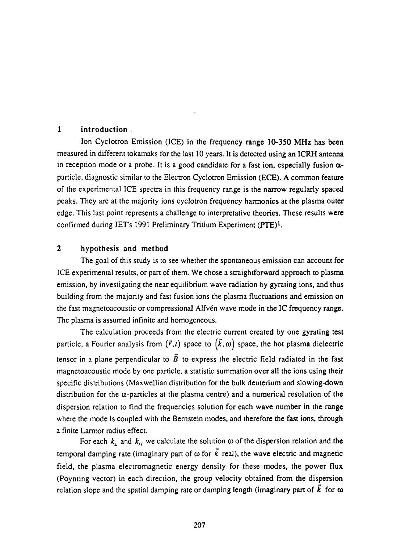## **1 introduction**

**Ion Cyclotron Emission (ICE) in the frequency range 10-350 MHz has been measured in different tokamaks for the last 10 years. It is detected using an ICRH antenna** in reception mode or a probe. It is a good candidate for a fast ion, especially fusion  $\alpha$ **particle, diagnostic similar to the Electron Cyclotron Emission (ECE). A common feature of the experimental ICE spectra in this frequency range is the narrow regularly spaced peaks. They are at the majority ions cyclotron frequency harmonics at the plasma outer edge. This last point represents a challenge to interpretative theories. These results were confirmed during JET's 1991 Preliminary Tritium Experiment (PTE)<sup>1</sup> .**

## **2 hypothesis and method**

**The goal of this study is to see whether the spontaneous emission can account for** ICE experimental results, or part of them. We chose a straightforward approach to plasma **emission, by investigating the near equilibrium wave radiation by gyrating ions, and thus building from the majority and fast fusion ions the plasma fluctuations and emission on the fast magnetoacoustic or compressional Alfven wave mode in the IC frequency range. The plasma is assumed infinite and homogeneous.**

**The calculation proceeds from the electric current created by one gyrating test** particle, a Fourier analysis from  $(\vec{r},t)$  space to  $(\vec{k},\omega)$  space, the hot plasma dielectric **tensor in a plane perpendicular to**  $\vec{B}$  **to express the electric field radiated in the fast magnetoacoustic mode by one particle, a statistic summation over all the ions using their specific distributions (Maxwellian distribution for the bulk deuterium and slowing-down** distribution for the  $\alpha$ -particles at the plasma centre) and a numerical resolution of the **dispersion relation to find the frequencies solution for each wave number in the range where the mode is coupled with the Bernstein modes, and therefore the fast ions, through a finite Larmor radius effect.**

For each  $k_{\perp}$  and  $k_{\parallel}$  we calculate the solution  $\omega$  of the dispersion relation and the temporal damping rate (imaginary part of  $\omega$  for  $\vec{k}$  real), the wave electric and magnetic **field, the plasma electromagnetic energy density for these modes, the power flux (Poynting vector) in each direction, the group velocity obtained from the dispersion** relation slope and the spatial damping rate or damping length (imaginary part of  $\vec{k}$  for  $\omega$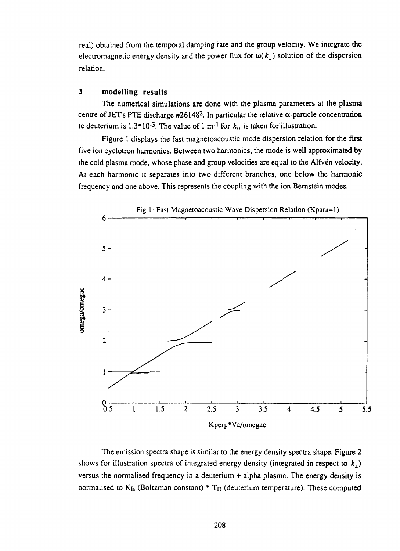real) obtained from the temporal damping rate and the group velocity. We integrate the electromagnetic energy density and the power flux for  $\omega(k_1)$  solution of the dispersion relation.

## **3 modelling results**

The numerical simulations are done with the plasma parameters at the plasma centre of JET's PTE discharge #26148<sup>2</sup>. In particular the relative  $\alpha$ -particle concentration to deuterium is  $1.3*10^{-3}$ . The value of 1 m<sup>-1</sup> for  $k_{\mu}$  is taken for illustration.

Figure 1 displays the fast magnetoacoustic mode dispersion relation for the first five ion cyclotron harmonics. Between two harmonics, the mode is well approximated by the cold plasma mode, whose phase and group velocities are equal to the Alfvén velocity. At each harmonic it separates into two different branches, one below the harmonic frequency and one above. This represents the coupling with the ion Bernstein modes.



The emission spectra shape is similar to the energy density spectra shape. Figure 2 shows for illustration spectra of integrated energy density (integrated in respect to  $k<sub>1</sub>$ ) versus the normalised frequency in a deuterium + alpha plasma. The energy density is normalised to  $K_B$  (Boltzman constant) \*  $T_D$  (deuterium temperature). These computed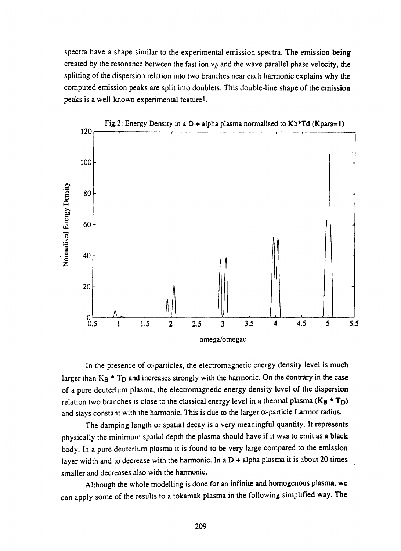**spectra have a shape similar to the experimental emission spectra. The emission being** created by the resonance between the fast ion  $v_{\ell}$  and the wave parallel phase velocity, the **splitting of the dispersion relation into two branches near each harmonic explains why the computed emission peaks are split into doublets. This double-line shape of the emission peaks is a well-known experimental feature<sup>1</sup> .**



In the presence of  $\alpha$ -particles, the electromagnetic energy density level is much larger than K<sub>B</sub> \* T<sub>D</sub> and increases strongly with the harmonic. On the contrary in the case **of a pure deuterium plasma, the electromagnetic energy density level of the dispersion** relation two branches is close to the classical energy level in a thermal plasma  $(K_B * T_D)$ **and stays constant with the harmonic. This is due to the larger a-particle Larmor radius.**

**The damping length or spatial decay is a very meaningful quantity. It represents physically the minimum spatial depth the plasma should have if it was to emit as a black body. In a pure deuterium plasma it is found to be very large compared to the emission layer width and to decrease with the harmonic. In a D + alpha plasma it is about 20 times smaller and decreases also with the harmonic.**

**Although the whole modelling is done for an infinite and homogenous plasma, we can apply some of the results to a tokamak plasma in the following simplified way. The**